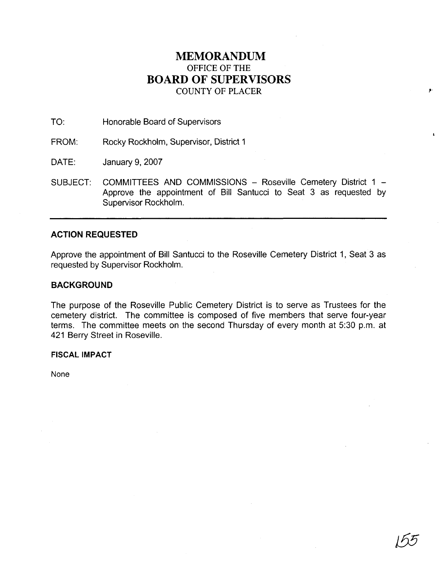## **MEMORANDUM**  OFFICE OF THE **BOARD OF SUPERVISORS**  COUNTY OF PLACER

TO: Honorable Board of Supervisors

FROM: Rocky Rockholm, Supervisor, District 1

DATE: January 9, 2007

SUBJECT: COMMITTEES AND COMMISSIONS - Roseville Cemetery District 1 -Approve the appointment of Bill Santucci to Seat 3 as requested by Supervisor Rockholm.

## **ACTION REQUESTED**

Approve the appointment of Bill Santucci to the Roseville Cemetery District 1, Seat 3 as requested by Supervisor Rockholm.

## **BACKGROUND**

The purpose of the Roseville Public Cemetery District is to serve as Trustees for the cemetery district. The committee is composed of five members that serve four-year terms. The committee meets on the second Thursday of every month at 5:30 p.m. at 421 Berry Street in Roseville.

## **FISCAL IMPACT**

None